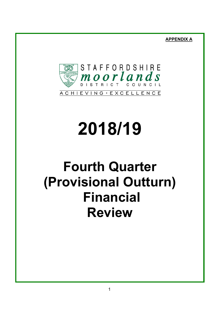**APPENDIX A**



# **2018/19**

# **Fourth Quarter (Provisional Outturn) Financial Review**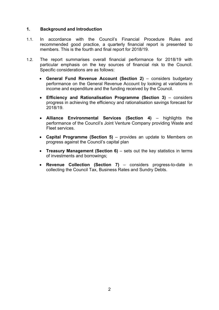#### **1. Background and Introduction**

- 1.1. In accordance with the Council's Financial Procedure Rules and recommended good practice, a quarterly financial report is presented to members. This is the fourth and final report for 2018/19.
- 1.2. The report summarises overall financial performance for 2018/19 with particular emphasis on the key sources of financial risk to the Council. Specific considerations are as follows:
	- **General Fund Revenue Account (Section 2)** considers budgetary performance on the General Revenue Account by looking at variations in income and expenditure and the funding received by the Council.
	- **Efficiency and Rationalisation Programme (Section 3)** considers progress in achieving the efficiency and rationalisation savings forecast for 2018/19.
	- **Alliance Environmental Services (Section 4)** highlights the performance of the Council's Joint Venture Company providing Waste and Fleet services.
	- **Capital Programme (Section 5)** provides an update to Members on progress against the Council's capital plan
	- **Treasury Management (Section 6)** sets out the key statistics in terms of investments and borrowings;
	- **Revenue Collection (Section 7)** considers progress-to-date in collecting the Council Tax, Business Rates and Sundry Debts.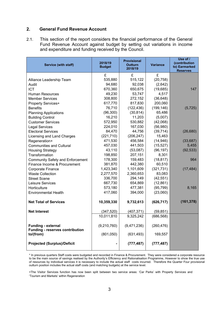#### **2. General Fund Revenue Account**

2.1. This section of the report considers the financial performance of the General Fund Revenue Account against budget by setting out variations in income and expenditure and funding received by the Council.

| Service (with staff)                                                | 2018/19<br><b>Budget</b> | <b>Provisional</b><br><b>Outturn</b><br>2018/19 | <b>Variance</b> | Use of /<br>(contribution<br>to) Earmarked<br><b>Reserves</b> |
|---------------------------------------------------------------------|--------------------------|-------------------------------------------------|-----------------|---------------------------------------------------------------|
|                                                                     | £                        | £                                               | £               |                                                               |
| Alliance Leadership Team                                            | 535,880                  | 515,122                                         | (20, 758)       |                                                               |
| Audit                                                               | 94,680                   | 92,038                                          | (2,642)         |                                                               |
| <b>ICT</b>                                                          | 670,360                  | 650,675                                         | (19,685)        | 147                                                           |
| <b>Human Resources</b>                                              | 49,230                   | 53,747                                          | 4,517           |                                                               |
| <b>Member Services</b>                                              | 308,800                  | 272,152                                         | (36, 648)       |                                                               |
| <b>Property Services+</b>                                           | 617,770                  | 817,830                                         | 200,060         |                                                               |
| <b>Benefits</b>                                                     | 76,710                   | (122, 436)                                      | (199, 146)      | (5, 725)                                                      |
| <b>Planning Applications</b>                                        | (96, 300)                | (30, 814)                                       | 65,486          |                                                               |
| <b>Building Control</b>                                             | 16,210                   | 11,203                                          | (5,007)         |                                                               |
| <b>Customer Services</b>                                            | 572,950                  | 530,882                                         | (42,068)        |                                                               |
| <b>Legal Services</b>                                               | 224,010                  | 167,030                                         | (56,980)        |                                                               |
| <b>Electoral Services</b>                                           | 84,470                   | 44,756                                          | (39, 714)       | (26, 680)                                                     |
| Licensing and Land Charges                                          | (221, 710)               | (206, 247)                                      | 15,463          |                                                               |
| Regeneration+                                                       | 471,530                  | 456,584                                         | (14, 946)       | (33, 687)                                                     |
| <b>Communities and Cultural</b>                                     | 457,030                  | 441,503                                         | (15, 527)       | 5,455                                                         |
| <b>Housing Strategy</b>                                             | 43,110                   | (53,087)                                        | (96, 197)       | (92, 533)                                                     |
| Transformation                                                      | 198,850                  | 207,151                                         | 8,301           |                                                               |
| <b>Community Safety and Enforcement</b>                             | 178,300                  | 159,483                                         | (18, 817)       | 964                                                           |
| Finance Income & Procurement                                        | 381,870                  | 442,380                                         | 60,510          |                                                               |
| Corporate Finance                                                   | 1,423,340                | 1,101,609                                       | (321, 731)      | (17, 484)                                                     |
| <b>Waste Collection</b>                                             | 2,277,570                | 2,360,653                                       | 83,083          |                                                               |
| <b>Street Scene</b>                                                 | 336,700                  | 294,149                                         | (42, 551)       |                                                               |
| Leisure Services                                                    | 667,730                  | 654,869                                         | (12, 861)       |                                                               |
| Horticulture                                                        | 573,180                  | 477,381                                         | (95, 799)       | 8,165                                                         |
| <b>Environmental Health</b>                                         | 417,060                  | 394,000                                         | (23,060)        |                                                               |
| <b>Net Total of Services</b>                                        | 10,359,330               | 9,732,613                                       | (626, 717)      | (161, 378)                                                    |
| <b>Net Interest</b>                                                 | (347, 520)               | (407, 371)                                      | (59, 851)       |                                                               |
|                                                                     | 10,011,810               | 9,325,242                                       | (686, 568)      |                                                               |
| <b>Funding - external</b><br><b>Funding - reserves contribution</b> | (9,210,760)              | (9,471,236)                                     | (260, 476)      |                                                               |
| to/(from)                                                           | (801,050)                | (631, 493)                                      | 169,557         |                                                               |
| <b>Projected (Surplus)/Deficit</b>                                  |                          | (777, 487)                                      | (777, 487)      |                                                               |

\* In previous quarters Staff costs were budgeted and recorded in Finance & Procurement. They were considered a corporate resource to be the main source of savings realised by the Authority's Efficiency and Rationalisation Programme, However to show the true use of resources by individual services it is necessary to include the actual staff costs incurred. Therefore the Quarter Four provisional outturn position includes the actual staff costs (and matching budgets) at the service level.

+The Visitor Services function has now been split between two service areas: 'Car Parks' with Property Services and 'Tourism and Markets' within Regeneration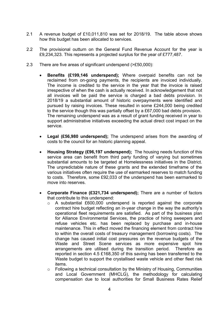- 2.1 A revenue budget of £10,011,810 was set for 2018/19. The table above shows how this budget has been allocated to services.
- 2.2 The provisional outturn on the General Fund Revenue Account for the year is £9,234,323. This represents a projected surplus for the year of £777,487.
- 2.3 There are five areas of significant underspend (>£50,000):
	- **Benefits (£199,146 underspend);** Where overpaid benefits can not be reclaimed from on-going payments, the recipients are invoiced individually. The income is credited to the service in the year that the invoice is raised irrespective of when the cash is actually received. In acknowledgement that not all invoices will be paid the service is charged a bad debts provision. In 2018/19 a substantial amount of historic overpayments were identified and pursued by raising invoices. These resulted in some £244,000 being credited to the service though this was partially offset by a £67,000 bad debts provision. The remaining underspend was as a result of grant funding received in year to support administrative initiatives exceeding the actual direct cost impact on the service.
	- **Legal (£56,980 underspend);** The underspend arises from the awarding of costs to the council for an historic planning appeal.
	- **Housing Strategy (£96,197 underspend);** The housing needs function of this service area can benefit from third party funding of varying but sometimes substantial amounts to be targeted at Homelessness initiatives in the District. The unpredictable nature of these grants and the extended timeframe of the various initiatives often require the use of earmarked reserves to match funding to costs. Therefore, some £92,033 of the underspend has been earmarked to move into reserves.
	- **Corporate Finance (£321,734 underspend);** There are a number of factors that contribute to this underspend:
		- o A substantial £600,000 underspend is reported against the corporate contract hire budget reflecting an in-year change in the way the authority's operational fleet requirements are satisfied. As part of the business plan for Alliance Environmental Services, the practice of hiring sweepers and refuse vehicles etc. has been replaced by purchase and in-house maintenance. This in effect moved the financing element from contract hire to within the overall costs of treasury management (borrowing costs). The change has caused initial cost pressures on the revenue budgets of the Waste and Street Scene services as more expensive spot hire arrangements are utilised during the transition period. Therefore as reported in section 4.5 £168,350 of this saving has been transferred to the Waste budget to support the crystallised waste vehicle and other fleet risk items.
		- o Following a technical consultation by the Ministry of Housing, Communities and Local Government (MHCLG), the methodology for calculating compensation due to local authorities for Small Business Rates Relief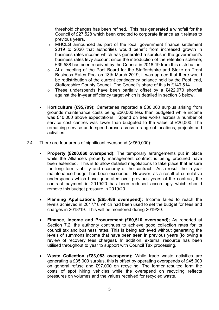threshold changes has been refined. This has generated a windfall for the Council of £27,528 which been credited to corporate finance as it relates to previous years.

- o MHCLG announced as part of the local government finance settlement 2019 to 2020 that authorities would benefit from increased growth in business rates income which has generated a surplus in the government's business rates levy account since the introduction of the retention scheme; £39,588 has been received by the Council in 2018-19 from this distribution.
- o At a meeting of the Pool Board for the Staffordshire and Stoke on Trent Business Rates Pool on 13th March 2019, it was agreed that there would be redistribution of the current contingency balance held by the Pool lead, Staffordshire County Council. The Council's share of this is £149,514.
- o These underspends have been partially offset by a £422,970 shortfall against the in-year efficiency target which is detailed in section 3 below.
- **Horticulture (£95,799);** Cemeteries reported a £30,000 surplus arising from grounds maintenance costs being £20,000 less than budgeted while income was £10,000 above expectations. Spend on tree works across a number of service cost centres was lower than budgeted to the value of £26,000. The remaining service underspend arose across a range of locations, projects and activities.
- 2.4 There are four areas of significant overspend (>£50,000):
	- **Property (£200,060 overspend);** The temporary arrangements put in place while the Alliance's property management contract is being procured have been extended. This is to allow detailed negotiations to take place that ensure the long term viability and economy of the contract. As a result the in-year maintenance budget has been exceeded. However, as a result of cumulative underspends which have generated over previous years of the contract, the contract payment in 2019/20 has been reduced accordingly which should remove this budget pressure in 2019/20.
	- **Planning Applications (£65,486 overspend);** Income failed to reach the levels achieved in 2017/18 which had been used to set the budget for fees and charges in 2018/19. This will be monitored during 2019/20.
	- **Finance, Income and Procurement (£60,510 overspend);** As reported at Section 7.2, the authority continues to achieve good collection rates for its council tax and business rates. This is being achieved without generating the levels of summons income that have been seen in previous years (following a review of recovery fees charges). In addition, external resource has been utilised throughout to year to support with Council Tax processing.
	- **Waste Collection (£83,083 overspend);** While trade waste activities are generating a £35,000 surplus, this is offset by operating overspends of £45,000 on general refuse and £97,000 on recycling. The former resulted form the costs of spot hiring vehicles while the overspend on recycling reflects pressures on volumes and the values received for recycled waste.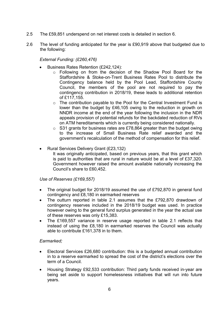- 2.5 The £59,851 underspend on net interest costs is detailed in section 6.
- 2.6 The level of funding anticipated for the year is £90,919 above that budgeted due to the following:

*External Funding: (£260,476)*

- Business Rates Retention (£242,124):
	- o Following on from the decision of the Shadow Pool Board for the Staffordshire & Stoke-on-Trent Business Rates Pool to distribute the Contingency balance held by the Pool Lead, Staffordshire County Council, the members of the pool are not required to pay the contingency contribution in 2018/19, these leads to additional retention of £117,155.
	- o The contribution payable to the Pool for the Central Investment Fund is lower than the budget by £46,105 owing to the reduction in growth on NNDR income at the end of the year following the inclusion in the NDR appeals provision of potential refunds for the backdated reduction of RVs on ATM hereditaments which is currently being considered nationally.
	- o S31 grants for business rates are £78,864 greater than the budget owing to the increase of Small Business Rate relief awarded and the government's recalculation of the method of compensation for this relief.
- Rural Services Delivery Grant (£23,132)
	- It was originally anticipated, based on previous years, that this grant which is paid to authorities that are rural in nature would be at a level of £37,320. Government however raised the amount available nationally increasing the Council's share to £60,452.

#### *Use of Reserves (£169,557)*

- The original budget for 2018/19 assumed the use of £792,870 in general fund contingency and £8,180 in earmarked reserves
- The outturn reported in table 2.1 assumes that the £792,870 drawdown of contingency reserves included in the 2018/19 budget was used. In practice however owing to the general fund surplus generated in the year the actual use of these reserves was only £15,383.
- The £169,557 variance in reserve usage reported in table 2.1 reflects that instead of using the £8,180 in earmarked reserves the Council was actually able to contribute £161,378 in to them.

#### *Earmarked;*

- Electoral Services £26,680 contribution: this is a budgeted annual contribution in to a reserve earmarked to spread the cost of the district's elections over the term of a Council.
- Housing Strategy £92,533 contribution: Third party funds received in-year are being set aside to support homelessness initiatives that will run into future years.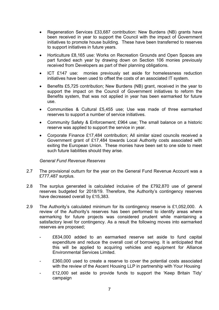- Regeneration Services £33,687 contribution: New Burdens (NB) grants have been received in year to support the Council with the impact of Government initiatives to promote house building. These have been transferred to reserves to support initiatives in future years.
- Horticulture £8,165 use: Works on Recreation Grounds and Open Spaces are part funded each year by drawing down on Section 106 monies previously received from Developers as part of their planning obligations.
- ICT £147 use: monies previously set aside for homelessness reduction initiatives have been used to offset the costs of an associated IT system.
- Benefits £5,725 contribution; New Burdens (NB) grant, received in the year to support the impact on the Council of Government initiatives to reform the Benefits system, that was not applied in year has been earmarked for future use.
- Communities & Cultural £5,455 use; Use was made of three earmarked reserves to support a number of service initiatives.
- Community Safety & Enforcement; £964 use; The small balance on a historic reserve was applied to support the service in year.
- Corporate Finance £17,484 contribution; All similar sized councils received a Government grant of £17,484 towards Local Authority costs associated with exiting the European Union. These monies have been set to one side to meet such future liabilities should they arise.

#### *General Fund Revenue Reserves*

- 2.7 The provisional outturn for the year on the General Fund Revenue Account was a £777,487 surplus.
- 2.8 The surplus generated is calculated inclusive of the £792,870 use of general reserves budgeted for 2018/19. Therefore, the Authority's contingency reserves have decreased overall by £15,383.
- 2.9 The Authority's calculated minimum for its contingency reserve is £1,052,000. A review of the Authority's reserves has been performed to identify areas where earmarking for future projects was considered prudent while maintaining a satisfactory level for contingency. As a result the following moves into earmarked reserves are proposed;
	- £834,000 added to an earmarked reserve set aside to fund capital expenditure and reduce the overall cost of borrowing. It is anticipated that this will be applied to acquiring vehicles and equipment for Alliance Environmental Services Limited.
	- £360,000 used to create a reserve to cover the potential costs associated with the review of the Ascent Housing LLP in partnership with Your Housing
	- £12,000 set aside to provide funds to support the 'Keep Britain Tidy' campaign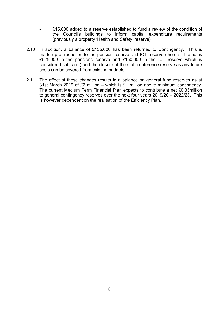- £15,000 added to a reserve established to fund a review of the condition of the Council's buildings to inform capital expenditure requirements (previously a property 'Health and Safety' reserve)
- 2.10 In addition, a balance of £135,000 has been returned to Contingency. This is made up of reduction to the pension reserve and ICT reserve (there still remains £525,000 in the pensions reserve and £150,000 in the ICT reserve which is considered sufficient) and the closure of the staff conference reserve as any future costs can be covered from existing budgets.
- 2.11 The effect of these changes results in a balance on general fund reserves as at 31st March 2019 of £2 million – which is £1 million above minimum contingency. The current Medium Term Financial Plan expects to contribute a net £0.33million to general contingency reserves over the next four years 2019/20 – 2022/23. This is however dependent on the realisation of the Efficiency Plan.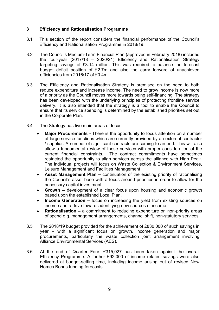#### **3 Efficiency and Rationalisation Programme**

- 3.1 This section of the report considers the financial performance of the Council's Efficiency and Rationalisation Programme in 2018/19.
- 3.2 The Council's Medium-Term Financial Plan (approved in February 2018) included the four-year (2017/18 – 2020/21) Efficiency and Rationalisation Strategy targeting savings of £3.14 million. This was required to balance the forecast budget deficit position of £2.7m and also the carry forward of unachieved efficiencies from 2016/17 of £0.4m.
- 3.3 The Efficiency and Rationalisation Strategy is premised on the need to both reduce expenditure and increase income. The need to grow income is now more of a priority as the Council moves more towards being self-financing. The strategy has been developed with the underlying principles of protecting frontline service delivery. It is also intended that the strategy is a tool to enable the Council to ensure that its service spending is determined by the established priorities set out in the Corporate Plan.
- 3.4 The Strategy has five main areas of focus:-
	- **Major Procurements -** There is the opportunity to focus attention on a number of large service functions which are currently provided by an external contractor / supplier. A number of significant contracts are coming to an end. This will also allow a fundamental review of these services with proper consideration of the current financial constraints. The contract commitments have sometimes restricted the opportunity to align services across the alliance with High Peak. The individual projects will focus on Waste Collection & Environment Services, Leisure Management and Facilities Management
	- **Asset Management Plan –** continuation of the existing priority of rationalising the Council's asset base with a focus around priorities in order to allow for the necessary capital investment
	- **Growth –** development of a clear focus upon housing and economic growth based upon the established Local Plan.
	- **Income Generation –** focus on increasing the yield from existing sources on income and a drive towards identifying new sources of income
	- **Rationalisation –** a commitment to reducing expenditure on non-priority areas of spend e.g. management arrangements, channel shift, non-statutory services
- 3.5 The 2018/19 budget provided for the achievement of £830,000 of such savings in year – with a significant focus on growth, income generation and major procurements, particularly the waste collection joint arrangement involving Alliance Environmental Services (AES).
- 3.6 At the end of Quarter Four, £315,027 has been taken against the overall Efficiency Programme. A further £92,000 of income related savings were also delivered at budget-setting time, including income arising out of revised New Homes Bonus funding forecasts.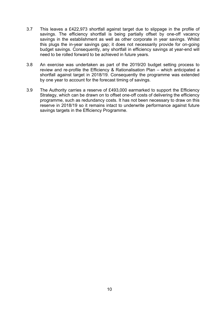- 3.7 This leaves a £422,973 shortfall against target due to slippage in the profile of savings. The efficiency shortfall is being partially offset by one-off vacancy savings in the establishment as well as other corporate in year savings. Whilst this plugs the in-year savings gap; it does not necessarily provide for on-going budget savings. Consequently, any shortfall in efficiency savings at year-end will need to be rolled forward to be achieved in future years.
- 3.8 An exercise was undertaken as part of the 2019/20 budget setting process to review and re-profile the Efficiency & Rationalisation Plan – which anticipated a shortfall against target in 2018/19. Consequently the programme was extended by one year to account for the forecast timing of savings.
- 3.9 The Authority carries a reserve of £493,000 earmarked to support the Efficiency Strategy, which can be drawn on to offset one-off costs of delivering the efficiency programme, such as redundancy costs. It has not been necessary to draw on this reserve in 2018/19 so it remains intact to underwrite performance against future savings targets in the Efficiency Programme.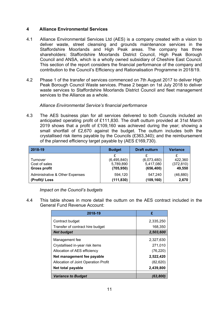#### **4 Alliance Environmental Services**

- 4.1 Alliance Environmental Services Ltd (AES) is a company created with a vision to deliver waste, street cleansing and grounds maintenance services in the Staffordshire Moorlands and High Peak areas. The company has three shareholders: Staffordshire Moorlands District Council, High Peak Borough Council and ANSA, which is a wholly owned subsidiary of Cheshire East Council. This section of the report considers the financial performance of the company and contribution to the Council's Efficiency and Rationalisation Programme in 2018/19.
- 4.2 Phase 1 of the transfer of services commenced on 7th August 2017 to deliver High Peak Borough Council Waste services. Phase 2 began on 1st July 2018 to deliver waste services to Staffordshire Moorlands District Council and fleet management services to the Alliance as a whole.

#### *Alliance Environmental Service's financial performance*

4.3 The AES business plan for all services delivered to both Councils included an anticipated operating profit of £111,830. The draft outturn provided at 31st March 2019 shows that a profit of £109,160 was achieved during the year; showing a small shortfall of £2,670 against the budget. The outturn includes both the crystallised risk items payable by the Councils (£363,340); and the reimbursement of the planned efficiency target payable by (AES £169,730).

| 2018-19                         | <b>Budget</b> | <b>Draft outturn</b> | <b>Variance</b> |
|---------------------------------|---------------|----------------------|-----------------|
|                                 | £             | £                    |                 |
| Turnover                        | (6,495,840)   | (6,073,480)          | 422,360         |
| Cost of sales                   | 5,789,890     | 5,417,080            | (372, 810)      |
| <b>Gross profit</b>             | (705, 950)    | (656, 400)           | 49,550          |
| Administrative & Other Expenses | 594,120       | 547.240              | (46, 880)       |
| (Profit)/ Loss                  | (111, 830)    | (109, 160)           | 2,670           |

*Impact on the Council's budgets*

4.4 This table shows in more detail the outturn on the AES contract included in the General Fund Revenue Account:

| 2018-19                              | £         |  |
|--------------------------------------|-----------|--|
| Contract budget                      | 2,335,250 |  |
| Transfer of contract hire budget     | 168,350   |  |
| <b>Net budget</b>                    | 2,503,600 |  |
| Management fee                       | 2,327,630 |  |
| Crystallised in-year risk items      | 271,010   |  |
| Allocation of AES efficiency         | (76, 220) |  |
| Net management fee payable           | 2,522,420 |  |
| Allocation of Joint Operation Profit | (82, 620) |  |
| Net total payable                    | 2,439,800 |  |
| <b>Variance to Budget</b>            | (63,800   |  |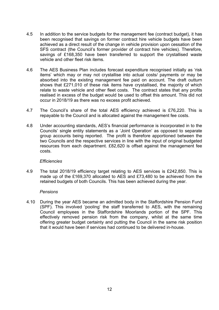- 4.5 In addition to the service budgets for the management fee (contract budget), it has been recognised that savings on former contract hire vehicle budgets have been achieved as a direct result of the change in vehicle provision upon cessation of the SFS contract (the Council's former provider of contract hire vehicles). Therefore, savings of £168,350 have been transferred to support the crystallised waste vehicle and other fleet risk items.
- 4.6 The AES Business Plan includes forecast expenditure recognised initially as 'risk items' which may or may not crystallise into actual costs/ payments or may be absorbed into the existing management fee paid on account. The draft outturn shows that £271,010 of these risk items have crystallised, the majority of which relate to waste vehicle and other fleet costs. The contract states that any profits realised in excess of the budget would be used to offset this amount. This did not occur in 2018/19 as there was no excess profit achieved.
- 4.7 The Council's share of the total AES efficiency achieved is £76,220. This is repayable to the Council and is allocated against the management fee costs.
- 4.8 Under accounting standards, AES's financial performance is incorporated in to the Councils' single entity statements as a 'Joint Operation' as opposed to separate group accounts being reported. The profit is therefore apportioned between the two Councils and the respective services in line with the input of original budgeted resources from each department. £82,620 is offset against the management fee costs.

#### *Efficiencies*

4.9 The total 2018/19 efficiency target relating to AES services is £242,850. This is made up of the £169,370 allocated to AES and £73,480 to be achieved from the retained budgets of both Councils. This has been achieved during the year.

#### *Pensions*

4.10 During the year AES became an admitted body in the Staffordshire Pension Fund (SPF). This involved 'pooling' the staff transferred to AES, with the remaining Council employees in the Staffordshire Moorlands portion of the SPF. This effectively removed pension risk from the company, whilst at the same time offering greater budget certainty and putting the Council in the same risk position that it would have been if services had continued to be delivered in-house.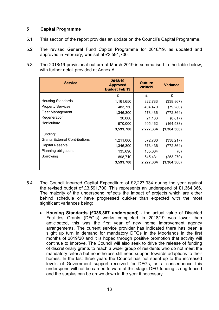#### **5 Capital Programme**

- 5.1 This section of the report provides an update on the Council's Capital Programme.
- 5.2 The revised General Fund Capital Programme for 2018/19, as updated and approved in February, was set at £3,591,700.
- 5.3 The 2018/19 provisional outturn at March 2019 is summarised in the table below, with further detail provided at Annex A.

| <b>Service</b>                       | 2018/19<br><b>Outturn</b><br><b>Approved</b><br>2018/19<br><b>Budget Feb 19</b> |           | <b>Variance</b> |
|--------------------------------------|---------------------------------------------------------------------------------|-----------|-----------------|
|                                      | £                                                                               | £         | £               |
| <b>Housing Standards</b>             | 1,161,650                                                                       | 822,783   | (338, 867)      |
| <b>Property Services</b>             | 483,750                                                                         | 404,470   | (79, 280)       |
| <b>Fleet Management</b>              | 1,346,300                                                                       | 573,436   | (772, 864)      |
| Regeneration                         | 30,000                                                                          | 21,183    | (8, 817)        |
| Horticulture                         | 570,000                                                                         | 405,462   | (164, 538)      |
|                                      | 3,591,700                                                                       | 2,227,334 | (1, 364, 366)   |
| Funding:                             |                                                                                 |           |                 |
| <b>Grants External Contributions</b> | 1,211,000                                                                       | 872,783   | (338, 217)      |
| Capital Reserve                      | 1,346,300                                                                       | 573,436   | (772, 864)      |
| Planning obligations                 | 135,690                                                                         | 135,684   | (6)             |
| Borrowing                            | 898,710                                                                         | 645,431   | (253, 279)      |
|                                      | 3,591,700                                                                       | 2,227,334 | (1, 364, 366)   |

- 5.4 The Council incurred Capital Expenditure of £2,227,334 during the year against the revised budget of £3,591,700. This represents an underspend of £1,364,366. The majority of the underspend reflects the impact of projects which are either behind schedule or have progressed quicker than expected with the most significant variances being:
	- **Housing Standards (£338,867 underspend)** the actual value of Disabled Facilities Grants (DFG's) works completed in 2018/19 was lower than anticipated, this was the first year of new home improvement agency arrangements. The current service provider has indicated there has been a slight up turn in demand for mandatory DFGs in the Moorlands in the first months of 2019/20 and it is hoped through positive promotion that activity will continue to improve. The Council will also seek to drive the release of funding of discretionary grants to reach a wider group of residents who do not meet the mandatory criteria but nonetheless still need support towards adaptions to their homes. In the last three years the Council has not spent up to the increased levels of Government support received for DFGs, as a consequence this underspend will not be carried forward at this stage. DFG funding is ring-fenced and the surplus can be drawn down in the year if necessary.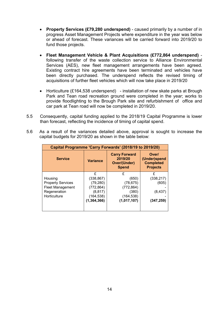- **Property Services (£79,280 underspend)** caused primarily by a number of in progress Asset Management Projects where expenditure in the year was below or ahead of forecast. These variances will be carried forward into 2019/20 to fund those projects.
- **Fleet Management Vehicle & Plant Acquisitions (£772,864 underspend)** following transfer of the waste collection service to Alliance Environmental Services (AES), new fleet management arrangements have been agreed. Existing contract hire agreements have been terminated and vehicles have been directly purchased. The underspend reflects the revised timing of acquisitions of further fleet vehicles which will now take place in 2019/20
- Horticulture (£164,538 underspend) installation of new skate parks at Brough Park and Tean road recreation ground were completed in the year; works to provide floodlighting to the Brough Park site and refurbishment of office and car park at Tean road will now be completed in 2019/20.
- 5.5 Consequently, capital funding applied to the 2018/19 Capital Programme is lower than forecast, reflecting the incidence of timing of capital spend.
- 5.6 As a result of the variances detailed above, approval is sought to increase the capital budgets for 2019/20 as shown in the table below:

| Capital Programme 'Carry Forwards' (2018/19 to 2019/20)                                        |                                                                                       |                                                                             |                                                              |  |
|------------------------------------------------------------------------------------------------|---------------------------------------------------------------------------------------|-----------------------------------------------------------------------------|--------------------------------------------------------------|--|
| <b>Service</b>                                                                                 | <b>Variance</b>                                                                       | <b>Carry Forward</b><br>2019/20<br><b>Over/(Under)</b><br><b>Spend</b>      | Over/<br>(Under)spend<br><b>Completed</b><br><b>Projects</b> |  |
| Housing<br><b>Property Services</b><br><b>Fleet Management</b><br>Regeneration<br>Horticulture | £<br>(338, 867)<br>(79, 280)<br>(772, 864)<br>(8, 817)<br>(164, 538)<br>(1, 364, 366) | £<br>(650)<br>(78, 675)<br>(772, 864)<br>(380)<br>(164, 538)<br>(1,017,107) | £<br>(338, 217)<br>(605)<br>(8, 437)<br>(347, 259)           |  |
|                                                                                                |                                                                                       |                                                                             |                                                              |  |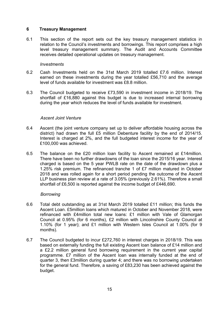#### **6 Treasury Management**

6.1 This section of the report sets out the key treasury management statistics in relation to the Council's investments and borrowings. This report comprises a high level treasury management summary. The Audit and Accounts Committee receives detailed operational updates on treasury management.

#### *Investments*

- 6.2 Cash Investments held on the 31st March 2019 totalled £7.6 million. Interest earned on these investments during the year totalled £56,710 and the average level of funds available for investment was £8.8 million.
- 6.3 The Council budgeted to receive £73,590 in investment income in 2018/19. The shortfall of £16,880 against this budget is due to increased internal borrowing during the year which reduces the level of funds available for investment.

#### *Ascent Joint Venture*

- 6.4 Ascent (the joint venture company set up to deliver affordable housing across the district) had drawn the full £5 million Debenture facility by the end of 2014/15. Interest is charged at 2%, and the full budgeted interest income for the year of £100,000 was achieved.
- 6.5 The balance on the £20 million loan facility to Ascent remained at £14million. There have been no further drawdowns of the loan since the 2015/16 year. Interest charged is based on the 5 year PWLB rate on the date of the drawdown plus a 1.25% risk premium. The refinanced tranche 1 of £7 million matured in October 2018 and was rolled again for a short period pending the outcome of the Ascent LLP business plan review at a rate of 3.05% (previously 2.61%). Therefore a small shortfall of £6,500 is reported against the income budget of £446,690.

#### *Borrowing*

- 6.6 Total debt outstanding as at 31st March 2019 totalled £11 million; this funds the Ascent Loan. £5million loans which matured in October and November 2018, were refinanced with £4million total new loans: £1 million with Vale of Glamorgan Council at 0.95% (for 6 months), £2 million with Lincolnshire County Council at 1.10% (for 1 year); and £1 million with Western Isles Council at 1.00% (for 9 months).
- 6.7 The Council budgeted to incur £272,760 in interest charges in 2018/19. This was based on externally funding the full existing Ascent loan balance of £14 million and a £2.2 million general fund borrowing requirement in the current year capital programme. £7 million of the Ascent loan was internally funded at the end of quarter 3, then £3million during quarter 4; and there was no borrowing undertaken for the general fund. Therefore, a saving of £83,230 has been achieved against the budget.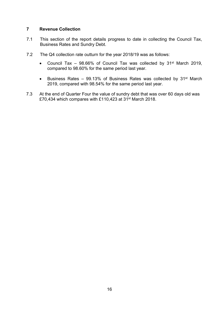#### **7 Revenue Collection**

- 7.1 This section of the report details progress to date in collecting the Council Tax, Business Rates and Sundry Debt.
- 7.2 The Q4 collection rate outturn for the year 2018/19 was as follows:
	- Council Tax  $-$  98.66% of Council Tax was collected by 31<sup>st</sup> March 2019, compared to 98.60% for the same period last year.
	- **Business Rates 99.13% of Business Rates was collected by 31st March** 2019, compared with 98.54% for the same period last year.
- 7.3 At the end of Quarter Four the value of sundry debt that was over 60 days old was £70,434 which compares with £110,423 at 31st March 2018.